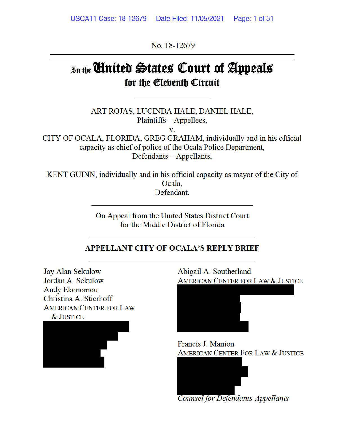No. 18-12679

# Jn tbe **linfttb s;tatts QCourt of ~pptals**  for the *Cleventh* Circuit

ART ROJAS, LUCINDA HALE, DANIEL HALE, Plaintiffs - Appellees,

**V.** 

CITY OF OCALA, FLORIDA, GREG GRAHAM, individually and in his official capacity as chief of police of the Ocala Police Department, Defendants - Appellants,

KENT GUINN, individually and in his official capacity as mayor of the City of Ocala, Defendant.

> On Appeal from the United States District Court for the Middle District of Florida

# **APPELLANT CITY OF OCALA'S REPLY BRIEF**

Jay Alan Sekulow Jordan A. Sekulow Andy Ekonomou Christina A. Stierhoff AMERICAN CENTER FOR LAW &JUSTICE



Abigail A. Southerland AMERICAN CENTER FOR LAW & JUSTICE



Francis J. Manion AMERICAN CENTER FOR LAW & JUSTICE



*Counsel for Defendants-Appellants*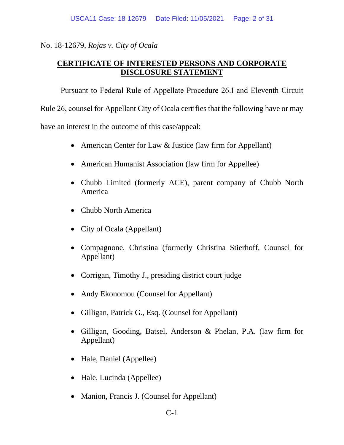#### No. 18-12679, *Rojas v. City of Ocala*

# **CERTIFICATE OF INTERESTED PERSONS AND CORPORATE DISCLOSURE STATEMENT**

Pursuant to Federal Rule of Appellate Procedure 26.1 and Eleventh Circuit Rule 26, counsel for Appellant City of Ocala certifies that the following have or may have an interest in the outcome of this case/appeal:

- American Center for Law & Justice (law firm for Appellant)
- American Humanist Association (law firm for Appellee)
- Chubb Limited (formerly ACE), parent company of Chubb North America
- Chubb North America
- City of Ocala (Appellant)
- Compagnone, Christina (formerly Christina Stierhoff, Counsel for Appellant)
- Corrigan, Timothy J., presiding district court judge
- Andy Ekonomou (Counsel for Appellant)
- Gilligan, Patrick G., Esq. (Counsel for Appellant)
- Gilligan, Gooding, Batsel, Anderson & Phelan, P.A. (law firm for Appellant)
- Hale, Daniel (Appellee)
- Hale, Lucinda (Appellee)
- Manion, Francis J. (Counsel for Appellant)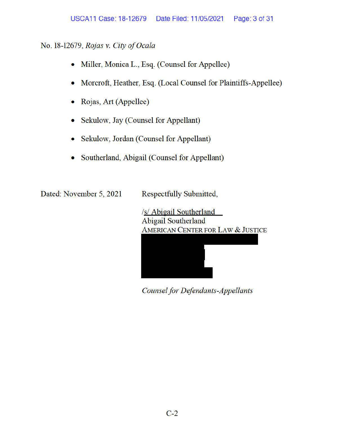# No. 18-12679, *Rojas v. City of Ocala*

- Miller, Monica L., Esq. (Counsel for Appellee)
- Morcroft, Heather, Esq. (Local Counsel for Plaintiffs-Appellee)
- Rojas, Art (Appellee)
- Sekulow, Jay (Counsel for Appellant)
- Sekulow, Jordan (Counsel for Appellant)
- Southerland, Abigail (Counsel for Appellant)

Dated: November 5, 2021 Respectfully Submitted,

/s/ Abigail Southerland Abigail Southerland AMERICAN CENTER FOR LAW & JUSTICE



*Counsel for Defendants-Appellants*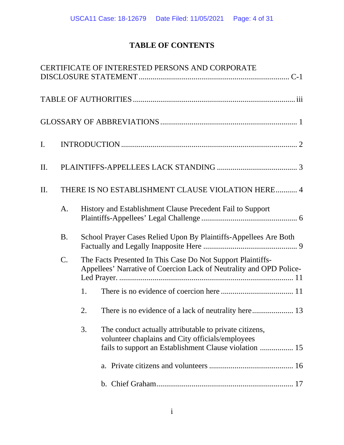# **TABLE OF CONTENTS**

|     |           | CERTIFICATE OF INTERESTED PERSONS AND CORPORATE                                                                                                                            |
|-----|-----------|----------------------------------------------------------------------------------------------------------------------------------------------------------------------------|
|     |           |                                                                                                                                                                            |
|     |           |                                                                                                                                                                            |
| I.  |           |                                                                                                                                                                            |
| Π.  |           |                                                                                                                                                                            |
| II. |           | THERE IS NO ESTABLISHMENT CLAUSE VIOLATION HERE 4                                                                                                                          |
|     | A.        | History and Establishment Clause Precedent Fail to Support                                                                                                                 |
|     | <b>B.</b> | School Prayer Cases Relied Upon By Plaintiffs-Appellees Are Both                                                                                                           |
|     | $C$ .     | The Facts Presented In This Case Do Not Support Plaintiffs-<br>Appellees' Narrative of Coercion Lack of Neutrality and OPD Police-                                         |
|     |           | 1.                                                                                                                                                                         |
|     |           | 2.                                                                                                                                                                         |
|     |           | 3.<br>The conduct actually attributable to private citizens,<br>volunteer chaplains and City officials/employees<br>fails to support an Establishment Clause violation  15 |
|     |           |                                                                                                                                                                            |
|     |           |                                                                                                                                                                            |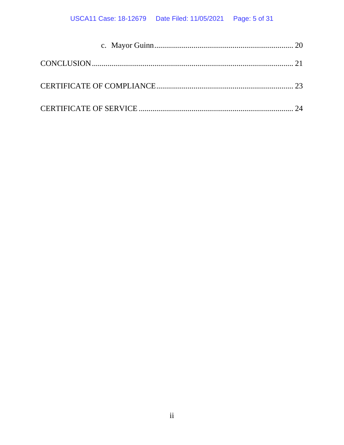# USCA11 Case: 18-12679 Date Filed: 11/05/2021 Page: 5 of 31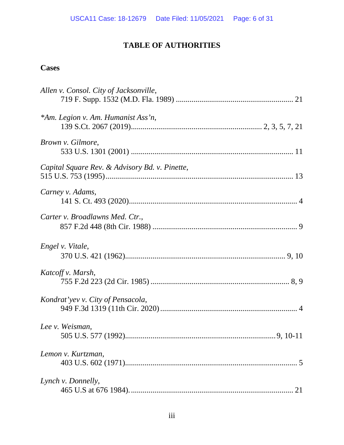# **TABLE OF AUTHORITIES**

# **Cases**

| Allen v. Consol. City of Jacksonville,         |
|------------------------------------------------|
| *Am. Legion v. Am. Humanist Ass'n,             |
| Brown v. Gilmore,                              |
| Capital Square Rev. & Advisory Bd. v. Pinette, |
| Carney v. Adams,                               |
| Carter v. Broadlawns Med. Ctr.,                |
| Engel v. Vitale,                               |
| Katcoff v. Marsh,                              |
| Kondrat'yev v. City of Pensacola,              |
| Lee v. Weisman,                                |
| Lemon v. Kurtzman,                             |
| Lynch v. Donnelly,<br>21                       |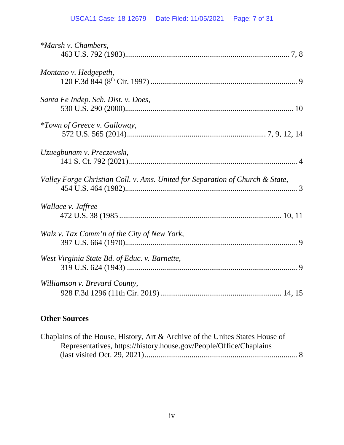# USCA11 Case: 18-12679 Date Filed: 11/05/2021 Page: 7 of 31

| *Marsh v. Chambers,                                                           |
|-------------------------------------------------------------------------------|
| Montano v. Hedgepeth,                                                         |
| Santa Fe Indep. Sch. Dist. v. Does,                                           |
| <i>*Town of Greece v. Galloway,</i>                                           |
| Uzuegbunam v. Preczewski,                                                     |
| Valley Forge Christian Coll. v. Ams. United for Separation of Church & State, |
| Wallace v. Jaffree                                                            |
| Walz v. Tax Comm'n of the City of New York,                                   |
| West Virginia State Bd. of Educ. v. Barnette,                                 |
| Williamson v. Brevard County,                                                 |

# **Other Sources**

| Chaplains of the House, History, Art & Archive of the Unites States House of |  |
|------------------------------------------------------------------------------|--|
| Representatives, https://history.house.gov/People/Office/Chaplains           |  |
|                                                                              |  |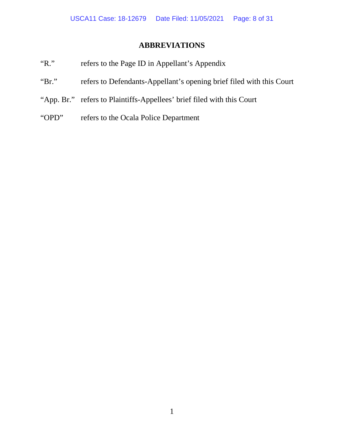# **ABBREVIATIONS**

- "R." refers to the Page ID in Appellant's Appendix
- "Br." refers to Defendants-Appellant's opening brief filed with this Court
- "App. Br." refers to Plaintiffs-Appellees' brief filed with this Court
- "OPD" refers to the Ocala Police Department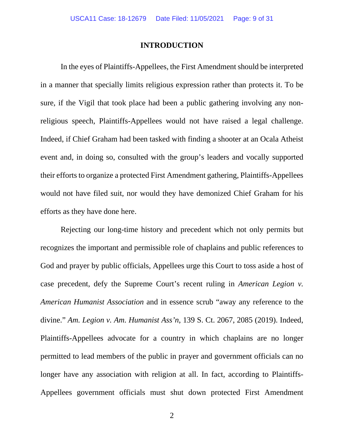#### **INTRODUCTION**

In the eyes of Plaintiffs-Appellees, the First Amendment should be interpreted in a manner that specially limits religious expression rather than protects it. To be sure, if the Vigil that took place had been a public gathering involving any nonreligious speech, Plaintiffs-Appellees would not have raised a legal challenge. Indeed, if Chief Graham had been tasked with finding a shooter at an Ocala Atheist event and, in doing so, consulted with the group's leaders and vocally supported their efforts to organize a protected First Amendment gathering, Plaintiffs-Appellees would not have filed suit, nor would they have demonized Chief Graham for his efforts as they have done here.

Rejecting our long-time history and precedent which not only permits but recognizes the important and permissible role of chaplains and public references to God and prayer by public officials, Appellees urge this Court to toss aside a host of case precedent, defy the Supreme Court's recent ruling in *American Legion v. American Humanist Association* and in essence scrub "away any reference to the divine." *Am. Legion v. Am. Humanist Ass'n*, 139 S. Ct. 2067, 2085 (2019). Indeed, Plaintiffs-Appellees advocate for a country in which chaplains are no longer permitted to lead members of the public in prayer and government officials can no longer have any association with religion at all. In fact, according to Plaintiffs-Appellees government officials must shut down protected First Amendment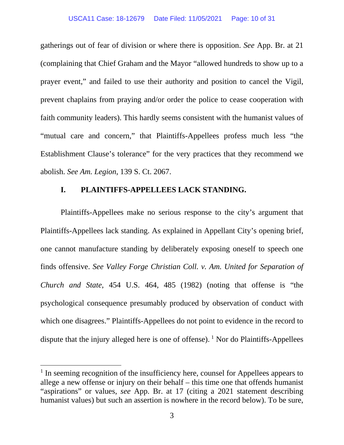gatherings out of fear of division or where there is opposition. *See* App. Br. at 21 (complaining that Chief Graham and the Mayor "allowed hundreds to show up to a prayer event," and failed to use their authority and position to cancel the Vigil, prevent chaplains from praying and/or order the police to cease cooperation with faith community leaders). This hardly seems consistent with the humanist values of "mutual care and concern," that Plaintiffs-Appellees profess much less "the Establishment Clause's tolerance" for the very practices that they recommend we abolish. *See Am. Legion*, 139 S. Ct. 2067.

#### **I. PLAINTIFFS-APPELLEES LACK STANDING.**

Plaintiffs-Appellees make no serious response to the city's argument that Plaintiffs-Appellees lack standing. As explained in Appellant City's opening brief, one cannot manufacture standing by deliberately exposing oneself to speech one finds offensive. *See Valley Forge Christian Coll. v. Am. United for Separation of Church and State*, 454 U.S. 464, 485 (1982) (noting that offense is "the psychological consequence presumably produced by observation of conduct with which one disagrees." Plaintiffs-Appellees do not point to evidence in the record to dispute that the injury alleged here is one of offense).  $\frac{1}{1}$  Nor do Plaintiffs-Appellees

<sup>&</sup>lt;sup>1</sup> In seeming recognition of the insufficiency here, counsel for Appellees appears to allege a new offense or injury on their behalf – this time one that offends humanist "aspirations" or values, *see* App. Br. at 17 (citing a 2021 statement describing humanist values) but such an assertion is nowhere in the record below). To be sure,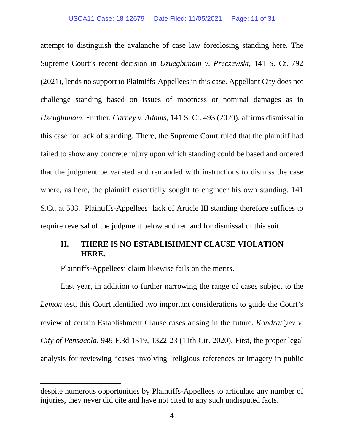#### USCA11 Case: 18-12679 Date Filed: 11/05/2021 Page: 11 of 31

attempt to distinguish the avalanche of case law foreclosing standing here. The Supreme Court's recent decision in *Uzuegbunam v. Preczewski*, 141 S. Ct. 792 (2021), lends no support to Plaintiffs-Appellees in this case. Appellant City does not challenge standing based on issues of mootness or nominal damages as in *Uzeugbunam*. Further, *Carney v. Adams*, 141 S. Ct. 493 (2020), affirms dismissal in this case for lack of standing. There, the Supreme Court ruled that the plaintiff had failed to show any concrete injury upon which standing could be based and ordered that the judgment be vacated and remanded with instructions to dismiss the case where, as here, the plaintiff essentially sought to engineer his own standing. 141 S.Ct. at 503. Plaintiffs-Appellees' lack of Article III standing therefore suffices to require reversal of the judgment below and remand for dismissal of this suit.

#### **II. THERE IS NO ESTABLISHMENT CLAUSE VIOLATION HERE.**

Plaintiffs-Appellees' claim likewise fails on the merits.

Last year, in addition to further narrowing the range of cases subject to the *Lemon* test, this Court identified two important considerations to guide the Court's review of certain Establishment Clause cases arising in the future. *Kondrat'yev v. City of Pensacola*, 949 F.3d 1319, 1322-23 (11th Cir. 2020). First, the proper legal analysis for reviewing "cases involving 'religious references or imagery in public

despite numerous opportunities by Plaintiffs-Appellees to articulate any number of injuries, they never did cite and have not cited to any such undisputed facts.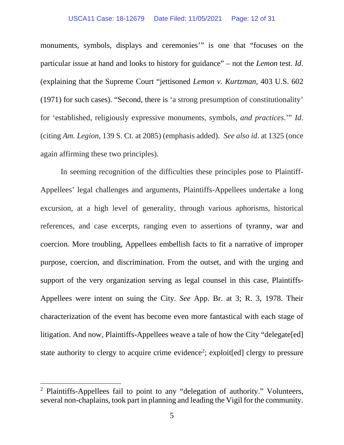#### USCA11 Case: 18-12679 Date Filed: 11/05/2021 Page: 12 of 31

monuments, symbols, displays and ceremonies'" is one that "focuses on the particular issue at hand and looks to history for guidance" – not the *Lemon* test. *Id*. (explaining that the Supreme Court "jettisoned *Lemon v. Kurtzman*, 403 U.S. 602 (1971) for such cases). "Second, there is 'a strong presumption of constitutionality' for 'established, religiously expressive monuments, symbols, *and practices*.'" *Id*. (citing *Am. Legion*, 139 S. Ct. at 2085) (emphasis added). *See also id*. at 1325 (once again affirming these two principles).

In seeming recognition of the difficulties these principles pose to Plaintiff-Appellees' legal challenges and arguments, Plaintiffs-Appellees undertake a long excursion, at a high level of generality, through various aphorisms, historical references, and case excerpts, ranging even to assertions of tyranny, war and coercion. More troubling, Appellees embellish facts to fit a narrative of improper purpose, coercion, and discrimination. From the outset, and with the urging and support of the very organization serving as legal counsel in this case, Plaintiffs-Appellees were intent on suing the City. *See* App. Br. at 3; R. 3, 1978. Their characterization of the event has become even more fantastical with each stage of litigation. And now, Plaintiffs-Appellees weave a tale of how the City "delegate[ed] state authority to clergy to acquire crime evidence<sup>2</sup>; exploit[ed] clergy to pressure

<sup>&</sup>lt;sup>2</sup> Plaintiffs-Appellees fail to point to any "delegation of authority." Volunteers, several non-chaplains, took part in planning and leading the Vigil for the community.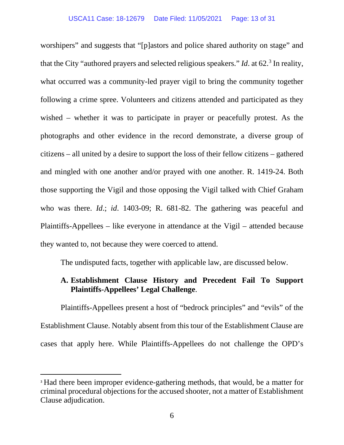worshipers" and suggests that "[p]astors and police shared authority on stage" and that the City "authored prayers and selected religious speakers." *Id.* at 62.<sup>3</sup> In reality, what occurred was a community-led prayer vigil to bring the community together following a crime spree. Volunteers and citizens attended and participated as they wished – whether it was to participate in prayer or peacefully protest. As the photographs and other evidence in the record demonstrate, a diverse group of citizens – all united by a desire to support the loss of their fellow citizens – gathered and mingled with one another and/or prayed with one another. R. 1419-24. Both those supporting the Vigil and those opposing the Vigil talked with Chief Graham who was there. *Id*.; *id*. 1403-09; R. 681-82. The gathering was peaceful and Plaintiffs-Appellees – like everyone in attendance at the Vigil – attended because they wanted to, not because they were coerced to attend.

The undisputed facts, together with applicable law, are discussed below.

### **A. Establishment Clause History and Precedent Fail To Support Plaintiffs-Appellees' Legal Challenge**.

Plaintiffs-Appellees present a host of "bedrock principles" and "evils" of the Establishment Clause. Notably absent from this tour of the Establishment Clause are cases that apply here. While Plaintiffs-Appellees do not challenge the OPD's

<sup>3</sup> Had there been improper evidence-gathering methods, that would, be a matter for criminal procedural objections for the accused shooter, not a matter of Establishment Clause adjudication.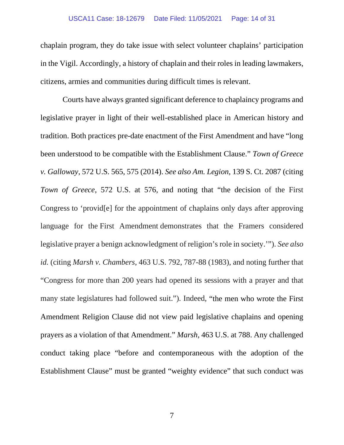#### USCA11 Case: 18-12679 Date Filed: 11/05/2021 Page: 14 of 31

chaplain program, they do take issue with select volunteer chaplains' participation in the Vigil. Accordingly, a history of chaplain and their roles in leading lawmakers, citizens, armies and communities during difficult times is relevant.

Courts have always granted significant deference to chaplaincy programs and legislative prayer in light of their well-established place in American history and tradition. Both practices pre-date enactment of the First Amendment and have "long been understood to be compatible with the Establishment Clause." *Town of Greece v. Galloway*, 572 U.S. 565, 575 (2014). *See also Am. Legion*, 139 S. Ct. 2087 (citing *Town of Greece*, 572 U.S. at 576, and noting that "the decision of the First Congress to 'provid[e] for the appointment of chaplains only days after approving language for the First Amendment demonstrates that the Framers considered legislative prayer a benign acknowledgment of religion's role in society.'"). *See also id.* (citing *Marsh v. Chambers*, 463 U.S. 792, 787-88 (1983), and noting further that "Congress for more than 200 years had opened its sessions with a prayer and that many state legislatures had followed suit."). Indeed, "the men who wrote the First Amendment Religion Clause did not view paid legislative chaplains and opening prayers as a violation of that Amendment." *Marsh*, 463 U.S. at 788. Any challenged conduct taking place "before and contemporaneous with the adoption of the Establishment Clause" must be granted "weighty evidence" that such conduct was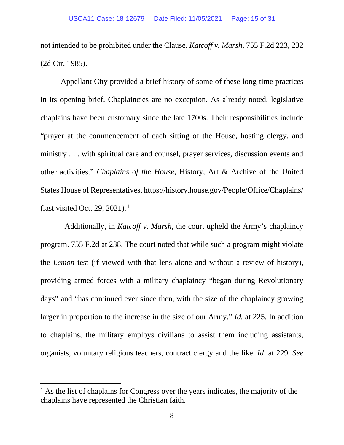not intended to be prohibited under the Clause. *Katcoff v. Marsh*, 755 F.2d 223, 232 (2d Cir. 1985).

Appellant City provided a brief history of some of these long-time practices in its opening brief. Chaplaincies are no exception. As already noted, legislative chaplains have been customary since the late 1700s. Their responsibilities include "prayer at the commencement of each sitting of the House, hosting clergy, and ministry . . . with spiritual care and counsel, prayer services, discussion events and other activities." *Chaplains of the House*, History, Art & Archive of the United States House of Representatives, https://history.house.gov/People/Office/Chaplains/ (last visited Oct. 29, 2021).4

 Additionally, in *Katcoff v. Marsh*, the court upheld the Army's chaplaincy program. 755 F.2d at 238. The court noted that while such a program might violate the *Lemon* test (if viewed with that lens alone and without a review of history), providing armed forces with a military chaplaincy "began during Revolutionary days" and "has continued ever since then, with the size of the chaplaincy growing larger in proportion to the increase in the size of our Army." *Id.* at 225. In addition to chaplains, the military employs civilians to assist them including assistants, organists, voluntary religious teachers, contract clergy and the like. *Id*. at 229. *See* 

<sup>&</sup>lt;sup>4</sup> As the list of chaplains for Congress over the years indicates, the majority of the chaplains have represented the Christian faith.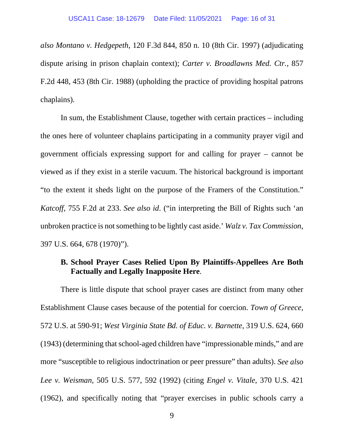*also Montano v. Hedgepeth*, 120 F.3d 844, 850 n. 10 (8th Cir. 1997) (adjudicating dispute arising in prison chaplain context); *Carter v. Broadlawns Med. Ctr.*, 857 F.2d 448, 453 (8th Cir. 1988) (upholding the practice of providing hospital patrons chaplains).

In sum, the Establishment Clause, together with certain practices – including the ones here of volunteer chaplains participating in a community prayer vigil and government officials expressing support for and calling for prayer – cannot be viewed as if they exist in a sterile vacuum. The historical background is important "to the extent it sheds light on the purpose of the Framers of the Constitution." *Katcoff*, 755 F.2d at 233. *See also id*. ("in interpreting the Bill of Rights such 'an unbroken practice is not something to be lightly cast aside.' *Walz v. Tax Commission*, 397 U.S. 664, 678 (1970)").

#### **B. School Prayer Cases Relied Upon By Plaintiffs-Appellees Are Both Factually and Legally Inapposite Here**.

There is little dispute that school prayer cases are distinct from many other Establishment Clause cases because of the potential for coercion. *Town of Greece*, 572 U.S. at 590-91; *West Virginia State Bd. of Educ. v. Barnette,* 319 U.S. 624, 660 (1943) (determining that school-aged children have "impressionable minds," and are more "susceptible to religious indoctrination or peer pressure" than adults). *See also Lee v. Weisman,* 505 U.S. 577, 592 (1992) (citing *Engel v. Vitale*, 370 U.S. 421 (1962), and specifically noting that "prayer exercises in public schools carry a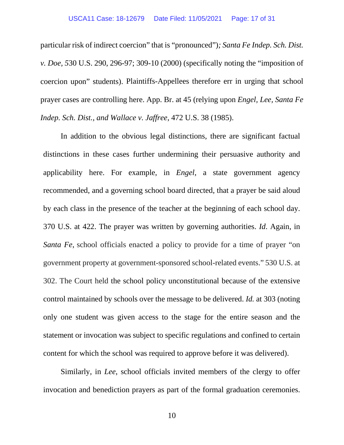particular risk of indirect coercion" that is "pronounced")*; Santa Fe Indep. Sch. Dist. v. Doe, 5*30 U.S. 290, 296-97; 309-10 (2000) (specifically noting the "imposition of coercion upon" students). Plaintiffs-Appellees therefore err in urging that school prayer cases are controlling here. App. Br. at 45 (relying upon *Engel, Lee, Santa Fe Indep. Sch. Dist., and Wallace v. Jaffree*, 472 U.S. 38 (1985).

In addition to the obvious legal distinctions, there are significant factual distinctions in these cases further undermining their persuasive authority and applicability here. For example, in *Engel*, a state government agency recommended, and a governing school board directed, that a prayer be said aloud by each class in the presence of the teacher at the beginning of each school day. 370 U.S. at 422. The prayer was written by governing authorities. *Id*. Again, in *Santa Fe*, school officials enacted a policy to provide for a time of prayer "on government property at government-sponsored school-related events." 530 U.S. at 302. The Court held the school policy unconstitutional because of the extensive control maintained by schools over the message to be delivered. *Id.* at 303 (noting only one student was given access to the stage for the entire season and the statement or invocation was subject to specific regulations and confined to certain content for which the school was required to approve before it was delivered).

Similarly, in *Lee*, school officials invited members of the clergy to offer invocation and benediction prayers as part of the formal graduation ceremonies.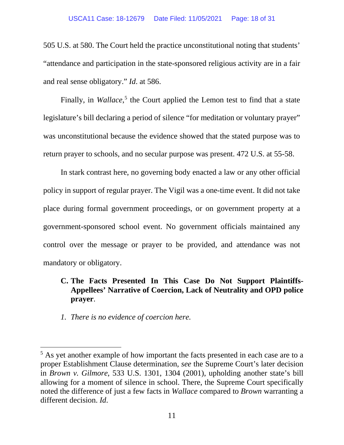505 U.S. at 580. The Court held the practice unconstitutional noting that students' "attendance and participation in the state-sponsored religious activity are in a fair and real sense obligatory." *Id*. at 586.

Finally, in *Wallace*,<sup>5</sup> the Court applied the Lemon test to find that a state legislature's bill declaring a period of silence "for meditation or voluntary prayer" was unconstitutional because the evidence showed that the stated purpose was to return prayer to schools, and no secular purpose was present. 472 U.S. at 55-58.

In stark contrast here, no governing body enacted a law or any other official policy in support of regular prayer. The Vigil was a one-time event. It did not take place during formal government proceedings, or on government property at a government-sponsored school event. No government officials maintained any control over the message or prayer to be provided, and attendance was not mandatory or obligatory.

## **C. The Facts Presented In This Case Do Not Support Plaintiffs-Appellees' Narrative of Coercion, Lack of Neutrality and OPD police prayer**.

*1. There is no evidence of coercion here.*

<sup>&</sup>lt;sup>5</sup> As yet another example of how important the facts presented in each case are to a proper Establishment Clause determination, *see* the Supreme Court's later decision in *Brown v. Gilmore*, 533 U.S. 1301, 1304 (2001), upholding another state's bill allowing for a moment of silence in school. There, the Supreme Court specifically noted the difference of just a few facts in *Wallace* compared to *Brown* warranting a different decision. *Id*.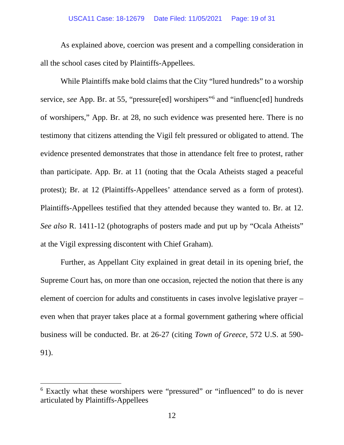#### USCA11 Case: 18-12679 Date Filed: 11/05/2021 Page: 19 of 31

As explained above, coercion was present and a compelling consideration in all the school cases cited by Plaintiffs-Appellees.

While Plaintiffs make bold claims that the City "lured hundreds" to a worship service, *see* App. Br. at 55, "pressure[ed] worshipers"6 and "influenc[ed] hundreds of worshipers," App. Br. at 28, no such evidence was presented here. There is no testimony that citizens attending the Vigil felt pressured or obligated to attend. The evidence presented demonstrates that those in attendance felt free to protest, rather than participate. App. Br. at 11 (noting that the Ocala Atheists staged a peaceful protest); Br. at 12 (Plaintiffs-Appellees' attendance served as a form of protest). Plaintiffs-Appellees testified that they attended because they wanted to. Br. at 12. *See also* R. 1411-12 (photographs of posters made and put up by "Ocala Atheists" at the Vigil expressing discontent with Chief Graham).

Further, as Appellant City explained in great detail in its opening brief, the Supreme Court has, on more than one occasion, rejected the notion that there is any element of coercion for adults and constituents in cases involve legislative prayer – even when that prayer takes place at a formal government gathering where official business will be conducted. Br. at 26-27 (citing *Town of Greece*, 572 U.S. at 590- 91).

<sup>6</sup> Exactly what these worshipers were "pressured" or "influenced" to do is never articulated by Plaintiffs-Appellees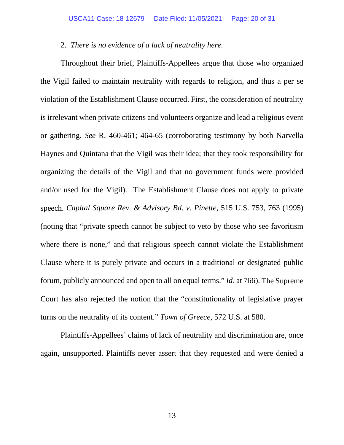#### 2. *There is no evidence of a lack of neutrality here.*

Throughout their brief, Plaintiffs-Appellees argue that those who organized the Vigil failed to maintain neutrality with regards to religion, and thus a per se violation of the Establishment Clause occurred. First, the consideration of neutrality is irrelevant when private citizens and volunteers organize and lead a religious event or gathering. *See* R. 460-461; 464-65 (corroborating testimony by both Narvella Haynes and Quintana that the Vigil was their idea; that they took responsibility for organizing the details of the Vigil and that no government funds were provided and/or used for the Vigil). The Establishment Clause does not apply to private speech. *Capital Square Rev. & Advisory Bd. v. Pinette*, 515 U.S. 753, 763 (1995) (noting that "private speech cannot be subject to veto by those who see favoritism where there is none," and that religious speech cannot violate the Establishment Clause where it is purely private and occurs in a traditional or designated public forum, publicly announced and open to all on equal terms." *Id*. at 766). The Supreme Court has also rejected the notion that the "constitutionality of legislative prayer turns on the neutrality of its content." *Town of Greece*, 572 U.S. at 580.

Plaintiffs-Appellees' claims of lack of neutrality and discrimination are, once again, unsupported. Plaintiffs never assert that they requested and were denied a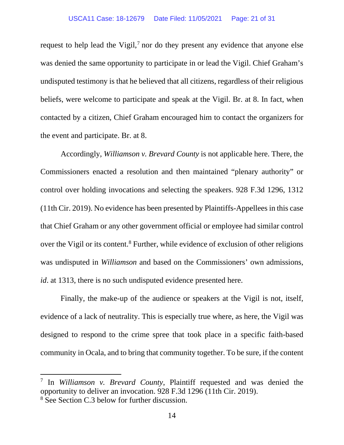request to help lead the Vigil, $<sup>7</sup>$  nor do they present any evidence that anyone else</sup> was denied the same opportunity to participate in or lead the Vigil. Chief Graham's undisputed testimony is that he believed that all citizens, regardless of their religious beliefs, were welcome to participate and speak at the Vigil. Br. at 8. In fact, when contacted by a citizen, Chief Graham encouraged him to contact the organizers for the event and participate. Br. at 8.

Accordingly, *Williamson v. Brevard County* is not applicable here. There, the Commissioners enacted a resolution and then maintained "plenary authority" or control over holding invocations and selecting the speakers. 928 F.3d 1296, 1312 (11th Cir. 2019). No evidence has been presented by Plaintiffs-Appellees in this case that Chief Graham or any other government official or employee had similar control over the Vigil or its content.<sup>8</sup> Further, while evidence of exclusion of other religions was undisputed in *Williamson* and based on the Commissioners' own admissions, *id*. at 1313, there is no such undisputed evidence presented here.

Finally, the make-up of the audience or speakers at the Vigil is not, itself, evidence of a lack of neutrality. This is especially true where, as here, the Vigil was designed to respond to the crime spree that took place in a specific faith-based community in Ocala, and to bring that community together. To be sure, if the content

<sup>7</sup> In *Williamson v. Brevard County*, Plaintiff requested and was denied the opportunity to deliver an invocation. 928 F.3d 1296 (11th Cir. 2019).

<sup>8</sup> See Section C.3 below for further discussion.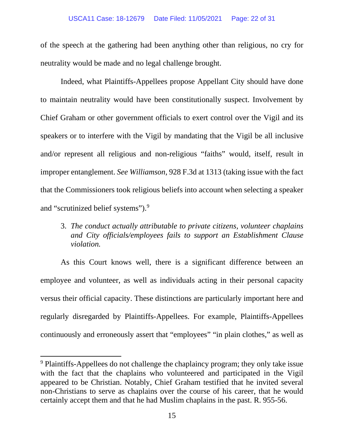of the speech at the gathering had been anything other than religious, no cry for neutrality would be made and no legal challenge brought.

Indeed, what Plaintiffs-Appellees propose Appellant City should have done to maintain neutrality would have been constitutionally suspect. Involvement by Chief Graham or other government officials to exert control over the Vigil and its speakers or to interfere with the Vigil by mandating that the Vigil be all inclusive and/or represent all religious and non-religious "faiths" would, itself, result in improper entanglement. *See Williamson*, 928 F.3d at 1313 (taking issue with the fact that the Commissioners took religious beliefs into account when selecting a speaker and "scrutinized belief systems").<sup>9</sup>

3. *The conduct actually attributable to private citizens, volunteer chaplains and City officials/employees fails to support an Establishment Clause violation.*

As this Court knows well, there is a significant difference between an employee and volunteer, as well as individuals acting in their personal capacity versus their official capacity. These distinctions are particularly important here and regularly disregarded by Plaintiffs-Appellees. For example, Plaintiffs-Appellees continuously and erroneously assert that "employees" "in plain clothes," as well as

<sup>9</sup> Plaintiffs-Appellees do not challenge the chaplaincy program; they only take issue with the fact that the chaplains who volunteered and participated in the Vigil appeared to be Christian. Notably, Chief Graham testified that he invited several non-Christians to serve as chaplains over the course of his career, that he would certainly accept them and that he had Muslim chaplains in the past. R. 955-56.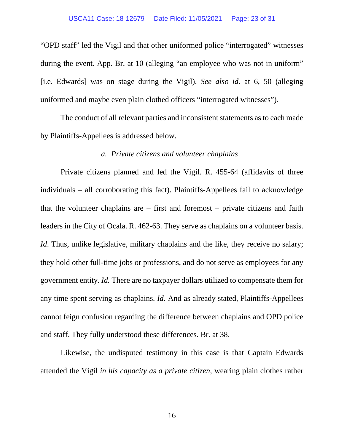"OPD staff" led the Vigil and that other uniformed police "interrogated" witnesses during the event. App. Br. at 10 (alleging "an employee who was not in uniform" [i.e. Edwards] was on stage during the Vigil). *See also id*. at 6, 50 (alleging uniformed and maybe even plain clothed officers "interrogated witnesses").

The conduct of all relevant parties and inconsistent statements as to each made by Plaintiffs-Appellees is addressed below.

#### *a. Private citizens and volunteer chaplains*

Private citizens planned and led the Vigil. R. 455-64 (affidavits of three individuals – all corroborating this fact). Plaintiffs-Appellees fail to acknowledge that the volunteer chaplains are – first and foremost – private citizens and faith leaders in the City of Ocala. R. 462-63. They serve as chaplains on a volunteer basis. *Id*. Thus, unlike legislative, military chaplains and the like, they receive no salary; they hold other full-time jobs or professions, and do not serve as employees for any government entity. *Id.* There are no taxpayer dollars utilized to compensate them for any time spent serving as chaplains. *Id.* And as already stated, Plaintiffs-Appellees cannot feign confusion regarding the difference between chaplains and OPD police and staff. They fully understood these differences. Br. at 38.

Likewise, the undisputed testimony in this case is that Captain Edwards attended the Vigil *in his capacity as a private citizen*, wearing plain clothes rather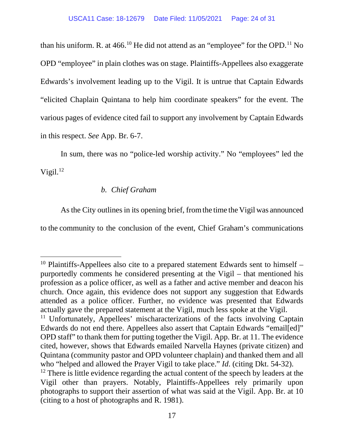than his uniform. R. at  $466$ .<sup>10</sup> He did not attend as an "employee" for the OPD.<sup>11</sup> No OPD "employee" in plain clothes was on stage. Plaintiffs-Appellees also exaggerate Edwards's involvement leading up to the Vigil. It is untrue that Captain Edwards "elicited Chaplain Quintana to help him coordinate speakers" for the event. The various pages of evidence cited fail to support any involvement by Captain Edwards in this respect. *See* App. Br. 6-7.

In sum, there was no "police-led worship activity." No "employees" led the Vigil. $^{12}$ 

#### *b. Chief Graham*

As the City outlines in its opening brief, from the time the Vigil was announced to the community to the conclusion of the event, Chief Graham's communications

 $10$  Plaintiffs-Appellees also cite to a prepared statement Edwards sent to himself  $$ purportedly comments he considered presenting at the Vigil – that mentioned his profession as a police officer, as well as a father and active member and deacon his church. Once again, this evidence does not support any suggestion that Edwards attended as a police officer. Further, no evidence was presented that Edwards actually gave the prepared statement at the Vigil, much less spoke at the Vigil.

<sup>&</sup>lt;sup>11</sup> Unfortunately, Appellees' mischaracterizations of the facts involving Captain Edwards do not end there. Appellees also assert that Captain Edwards "email[ed]" OPD staff" to thank them for putting together the Vigil. App. Br. at 11. The evidence cited, however, shows that Edwards emailed Narvella Haynes (private citizen) and Quintana (community pastor and OPD volunteer chaplain) and thanked them and all who "helped and allowed the Prayer Vigil to take place." *Id*. (citing Dkt. 54-32).

<sup>&</sup>lt;sup>12</sup> There is little evidence regarding the actual content of the speech by leaders at the Vigil other than prayers. Notably, Plaintiffs-Appellees rely primarily upon photographs to support their assertion of what was said at the Vigil. App. Br. at 10 (citing to a host of photographs and R. 1981).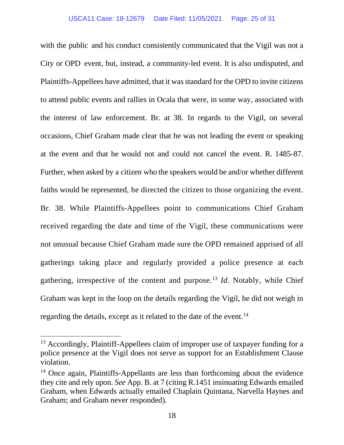with the public and his conduct consistently communicated that the Vigil was not a City or OPD event, but, instead, a community-led event. It is also undisputed, and Plaintiffs-Appellees have admitted, that it was standard for the OPD to invite citizens to attend public events and rallies in Ocala that were, in some way, associated with the interest of law enforcement. Br. at 38. In regards to the Vigil, on several occasions, Chief Graham made clear that he was not leading the event or speaking at the event and that he would not and could not cancel the event. R. 1485-87. Further, when asked by a citizen who the speakers would be and/or whether different faiths would be represented, he directed the citizen to those organizing the event. Br. 38. While Plaintiffs-Appellees point to communications Chief Graham received regarding the date and time of the Vigil, these communications were not unusual because Chief Graham made sure the OPD remained apprised of all gatherings taking place and regularly provided a police presence at each gathering, irrespective of the content and purpose.13 *Id*. Notably, while Chief Graham was kept in the loop on the details regarding the Vigil, he did not weigh in regarding the details, except as it related to the date of the event.<sup>14</sup>

<sup>&</sup>lt;sup>13</sup> Accordingly, Plaintiff-Appellees claim of improper use of taxpayer funding for a police presence at the Vigil does not serve as support for an Establishment Clause violation.

<sup>&</sup>lt;sup>14</sup> Once again, Plaintiffs-Appellants are less than forthcoming about the evidence they cite and rely upon. *See* App. B. at 7 (citing R.1451 insinuating Edwards emailed Graham, when Edwards actually emailed Chaplain Quintana, Narvella Haynes and Graham; and Graham never responded).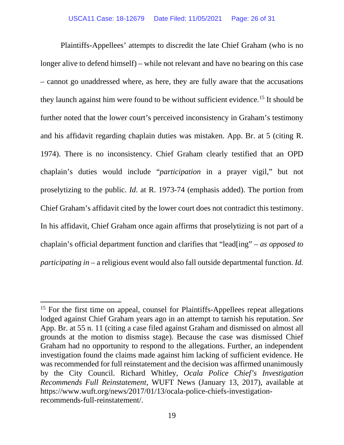Plaintiffs-Appellees' attempts to discredit the late Chief Graham (who is no longer alive to defend himself) – while not relevant and have no bearing on this case – cannot go unaddressed where, as here, they are fully aware that the accusations they launch against him were found to be without sufficient evidence. 15 It should be further noted that the lower court's perceived inconsistency in Graham's testimony and his affidavit regarding chaplain duties was mistaken. App. Br. at 5 (citing R. 1974). There is no inconsistency. Chief Graham clearly testified that an OPD chaplain's duties would include "*participation* in a prayer vigil," but not proselytizing to the public. *Id*. at R. 1973-74 (emphasis added). The portion from Chief Graham's affidavit cited by the lower court does not contradict this testimony. In his affidavit, Chief Graham once again affirms that proselytizing is not part of a chaplain's official department function and clarifies that "lead[ing" *– as opposed to participating in* – a religious event would also fall outside departmental function. *Id.*

<sup>&</sup>lt;sup>15</sup> For the first time on appeal, counsel for Plaintiffs-Appellees repeat allegations lodged against Chief Graham years ago in an attempt to tarnish his reputation. *See*  App. Br. at 55 n. 11 (citing a case filed against Graham and dismissed on almost all grounds at the motion to dismiss stage). Because the case was dismissed Chief Graham had no opportunity to respond to the allegations. Further, an independent investigation found the claims made against him lacking of sufficient evidence. He was recommended for full reinstatement and the decision was affirmed unanimously by the City Council. Richard Whitley, *Ocala Police Chief's Investigation Recommends Full Reinstatement*, WUFT News (January 13, 2017), available at https://www.wuft.org/news/2017/01/13/ocala-police-chiefs-investigationrecommends-full-reinstatement/.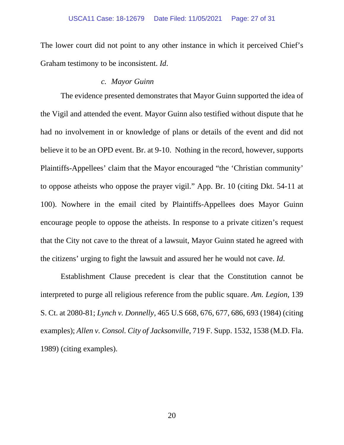The lower court did not point to any other instance in which it perceived Chief's Graham testimony to be inconsistent. *Id*.

#### *c. Mayor Guinn*

The evidence presented demonstrates that Mayor Guinn supported the idea of the Vigil and attended the event. Mayor Guinn also testified without dispute that he had no involvement in or knowledge of plans or details of the event and did not believe it to be an OPD event. Br. at 9-10. Nothing in the record, however, supports Plaintiffs-Appellees' claim that the Mayor encouraged "the 'Christian community' to oppose atheists who oppose the prayer vigil." App. Br. 10 (citing Dkt. 54-11 at 100). Nowhere in the email cited by Plaintiffs-Appellees does Mayor Guinn encourage people to oppose the atheists. In response to a private citizen's request that the City not cave to the threat of a lawsuit, Mayor Guinn stated he agreed with the citizens' urging to fight the lawsuit and assured her he would not cave. *Id*.

Establishment Clause precedent is clear that the Constitution cannot be interpreted to purge all religious reference from the public square. *Am. Legion*, 139 S. Ct. at 2080-81; *Lynch v. Donnelly*, 465 U.S 668, 676, 677, 686, 693 (1984) (citing examples); *Allen v. Consol. City of Jacksonville*, 719 F. Supp. 1532, 1538 (M.D. Fla. 1989) (citing examples).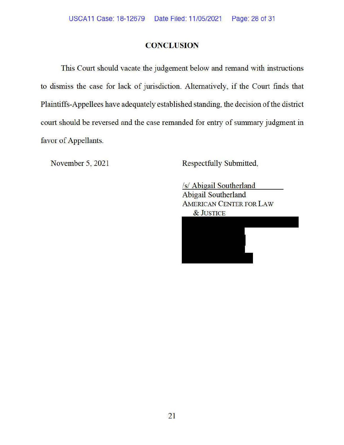#### **CONCLUSION**

This Court should vacate the judgement below and remand with instructions to dismiss the case for lack of jurisdiction. Alternatively, if the Court finds that Plaintiffs-Appellees have adequately established standing, the decision of the district court should be reversed and the case remanded for entry of summary judgment in favor of Appellants.

November 5, 2021

Respectfully Submitted,

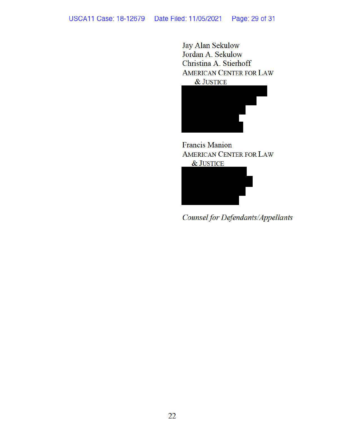#### USCA 11 Case: 18-12679 Date Filed: 11/05/2021 Page: 29 of 31

Jay Alan Sekulow Jordan A. Sekulow Christina A. Stierhoff AMERICAN CENTER FOR LAW &JUSTICE



Francis Manion AMERICAN CENTER FOR LAW &JUSTICE



*Counselfor Defendants/Appellants*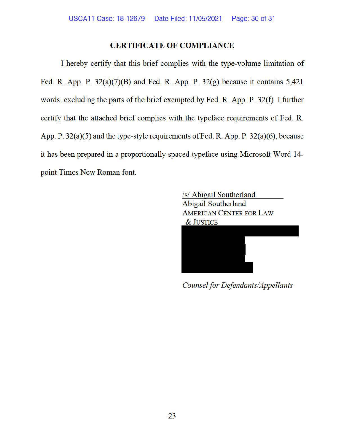#### **CERTIFICATE OF COMPLIANCE**

I hereby certify that this brief complies with the type-volume limitation of Fed. R. App. P.  $32(a)(7)(B)$  and Fed. R. App. P.  $32(g)$  because it contains 5,421 words, excluding the parts of the brief exempted by Fed. R. App. P. 32(f). I further certify that the attached brief complies with the typeface requirements of Fed. R. App. P. 32(a)(5) and the type-style requirements of Fed. R. App. P. 32(a)(6), because it has been prepared in a proportionally spaced typeface using Microsoft Word 14 point Times New Roman font.

> /s/ Abigail Southerland Abigail Southerland AMERICAN CENTER FOR LAW &JUSTICE

*Counsel for Defendants/Appellants*